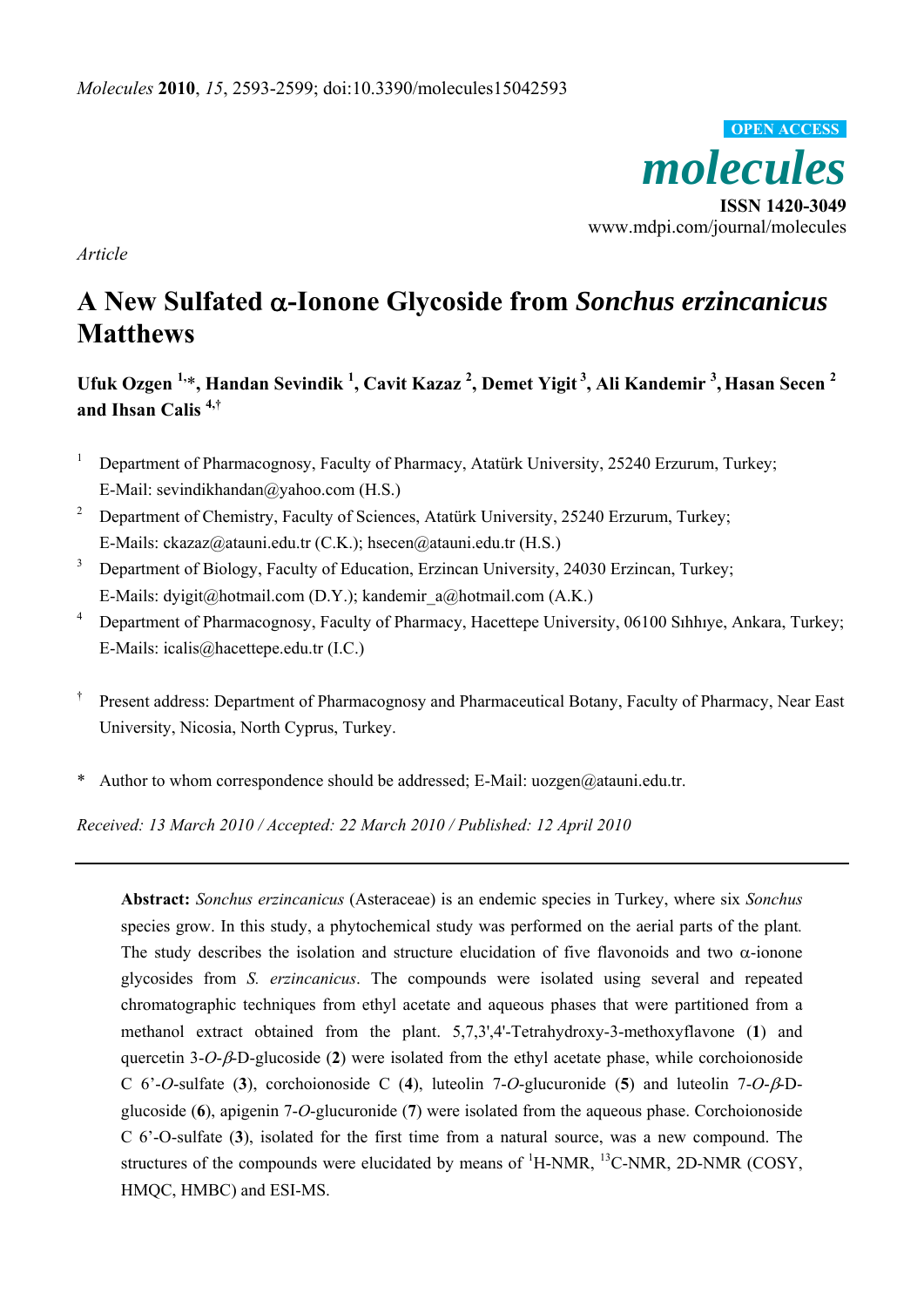*molecules*  **ISSN 1420-3049**  www.mdpi.com/journal/molecules **OPEN ACCESS**

*Article* 

# **A New Sulfated** α**-Ionone Glycoside from** *Sonchus erzincanicus* **Matthews**

**Ufuk Ozgen 1,**\***, Handan Sevindik <sup>1</sup> , Cavit Kazaz <sup>2</sup> , Demet Yigit 3, Ali Kandemir 3 , Hasan Secen <sup>2</sup> and Ihsan Calis 4,†**

- <sup>1</sup> Department of Pharmacognosy, Faculty of Pharmacy, Atatürk University, 25240 Erzurum, Turkey; E-Mail: sevindikhandan@yahoo.com (H.S.)
- <sup>2</sup> Department of Chemistry, Faculty of Sciences, Atatürk University, 25240 Erzurum, Turkey; E-Mails: ckazaz@atauni.edu.tr (C.K.); hsecen@atauni.edu.tr (H.S.)
- <sup>3</sup> Department of Biology, Faculty of Education, Erzincan University, 24030 Erzincan, Turkey; E-Mails: dyigit@hotmail.com (D.Y.); kandemir\_a@hotmail.com (A.K.)
- <sup>4</sup> Department of Pharmacognosy, Faculty of Pharmacy, Hacettepe University, 06100 Sinhive, Ankara, Turkey; E-Mails: icalis@hacettepe.edu.tr (I.C.)
- † Present address: Department of Pharmacognosy and Pharmaceutical Botany, Faculty of Pharmacy, Near East University, Nicosia, North Cyprus, Turkey.
- \* Author to whom correspondence should be addressed; E-Mail: uozgen@atauni.edu.tr.

*Received: 13 March 2010 / Accepted: 22 March 2010 / Published: 12 April 2010* 

**Abstract:** *Sonchus erzincanicus* (Asteraceae) is an endemic species in Turkey, where six *Sonchus* species grow. In this study, a phytochemical study was performed on the aerial parts of the plant*.*  The study describes the isolation and structure elucidation of five flavonoids and two  $\alpha$ -ionone glycosides from *S. erzincanicus*. The compounds were isolated using several and repeated chromatographic techniques from ethyl acetate and aqueous phases that were partitioned from a methanol extract obtained from the plant. 5,7,3',4'-Tetrahydroxy-3-methoxyflavone (**1**) and quercetin 3-*O*-β-D-glucoside (**2**) were isolated from the ethyl acetate phase, while corchoionoside C 6'-*O*-sulfate (**3**), corchoionoside C (**4**), luteolin 7-*O*-glucuronide (**5**) and luteolin 7-*O*-β-Dglucoside (**6**), apigenin 7-*O*-glucuronide (**7**) were isolated from the aqueous phase. Corchoionoside C 6'-O-sulfate (**3**), isolated for the first time from a natural source, was a new compound. The structures of the compounds were elucidated by means of  ${}^{1}$ H-NMR,  ${}^{13}$ C-NMR, 2D-NMR (COSY, HMQC, HMBC) and ESI-MS.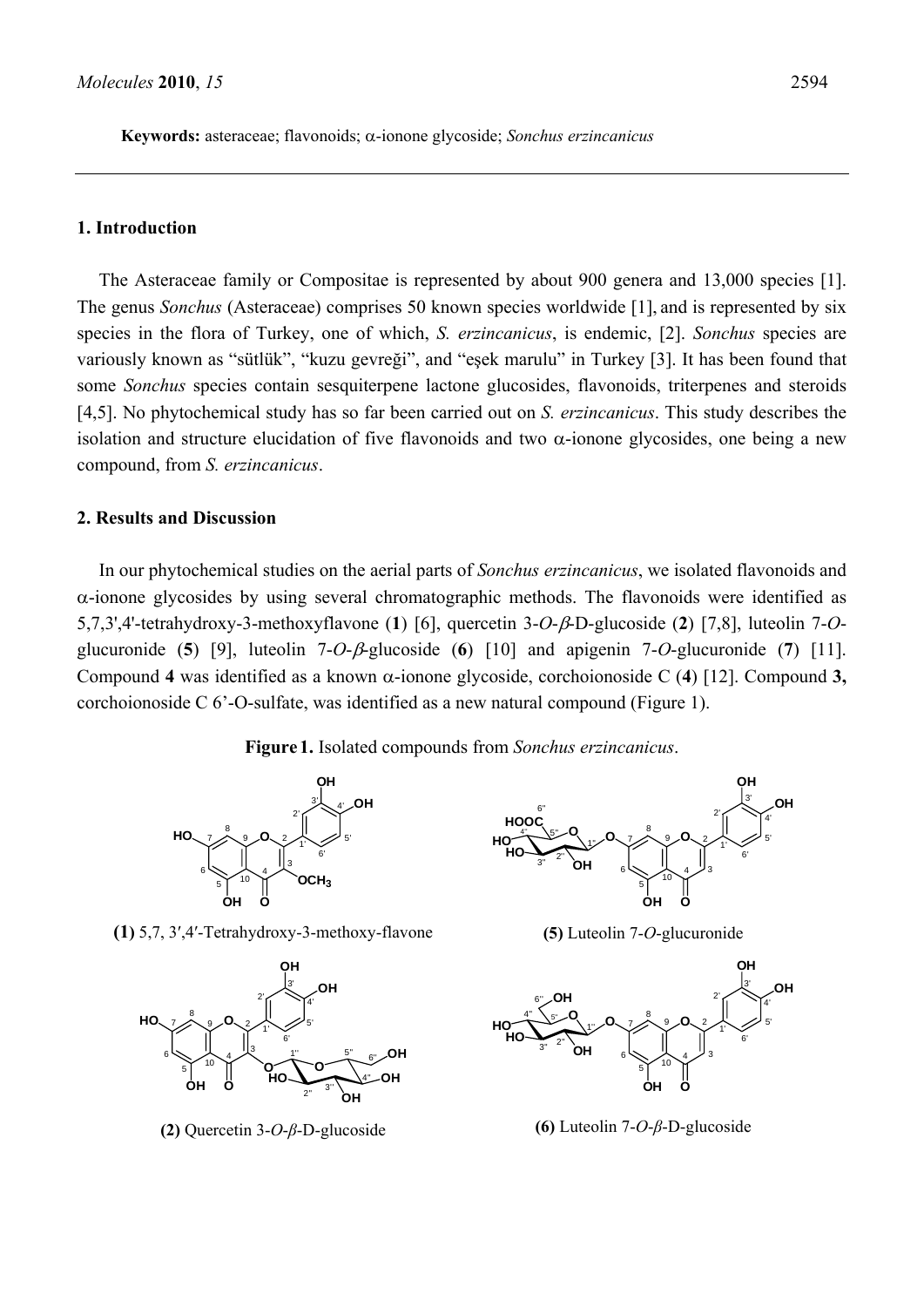**Keywords:** asteraceae; flavonoids; α-ionone glycoside; *Sonchus erzincanicus* 

## **1. Introduction**

The Asteraceae family or Compositae is represented by about 900 genera and 13,000 species [1]. The genus *Sonchus* (Asteraceae) comprises 50 known species worldwide [1], and is represented by six species in the flora of Turkey, one of which, *S. erzincanicus*, is endemic, [2]. *Sonchus* species are variously known as "sütlük", "kuzu gevreği", and "eşek marulu" in Turkey [3]. It has been found that some *Sonchus* species contain sesquiterpene lactone glucosides, flavonoids, triterpenes and steroids [4,5]. No phytochemical study has so far been carried out on *S. erzincanicus*. This study describes the isolation and structure elucidation of five flavonoids and two  $\alpha$ -ionone glycosides, one being a new compound, from *S. erzincanicus*.

#### **2. Results and Discussion**

In our phytochemical studies on the aerial parts of *Sonchus erzincanicus*, we isolated flavonoids and α-ionone glycosides by using several chromatographic methods. The flavonoids were identified as 5,7,3',4'-tetrahydroxy-3-methoxyflavone (**1**) [6], quercetin 3-*O*-β-D-glucoside (**2**) [7,8], luteolin 7-*O*glucuronide (**5**) [9], luteolin 7-*O*-β-glucoside (**6**) [10] and apigenin 7-*O*-glucuronide (**7**) [11]. Compound **4** was identified as a known α-ionone glycoside, corchoionoside C (**4**) [12]. Compound **3,**  corchoionoside C 6'-O-sulfate, was identified as a new natural compound (Figure 1).

**Figure 1.** Isolated compounds from *Sonchus erzincanicus*.



**(1)** 5,7, 3′,4′-Tetrahydroxy-3-methoxy-flavone



**(2)** Quercetin 3-*O*-*β*-D-glucoside



**(5)** Luteolin 7-*O*-glucuronide



**(6)** Luteolin 7-*O*-*β*-D-glucoside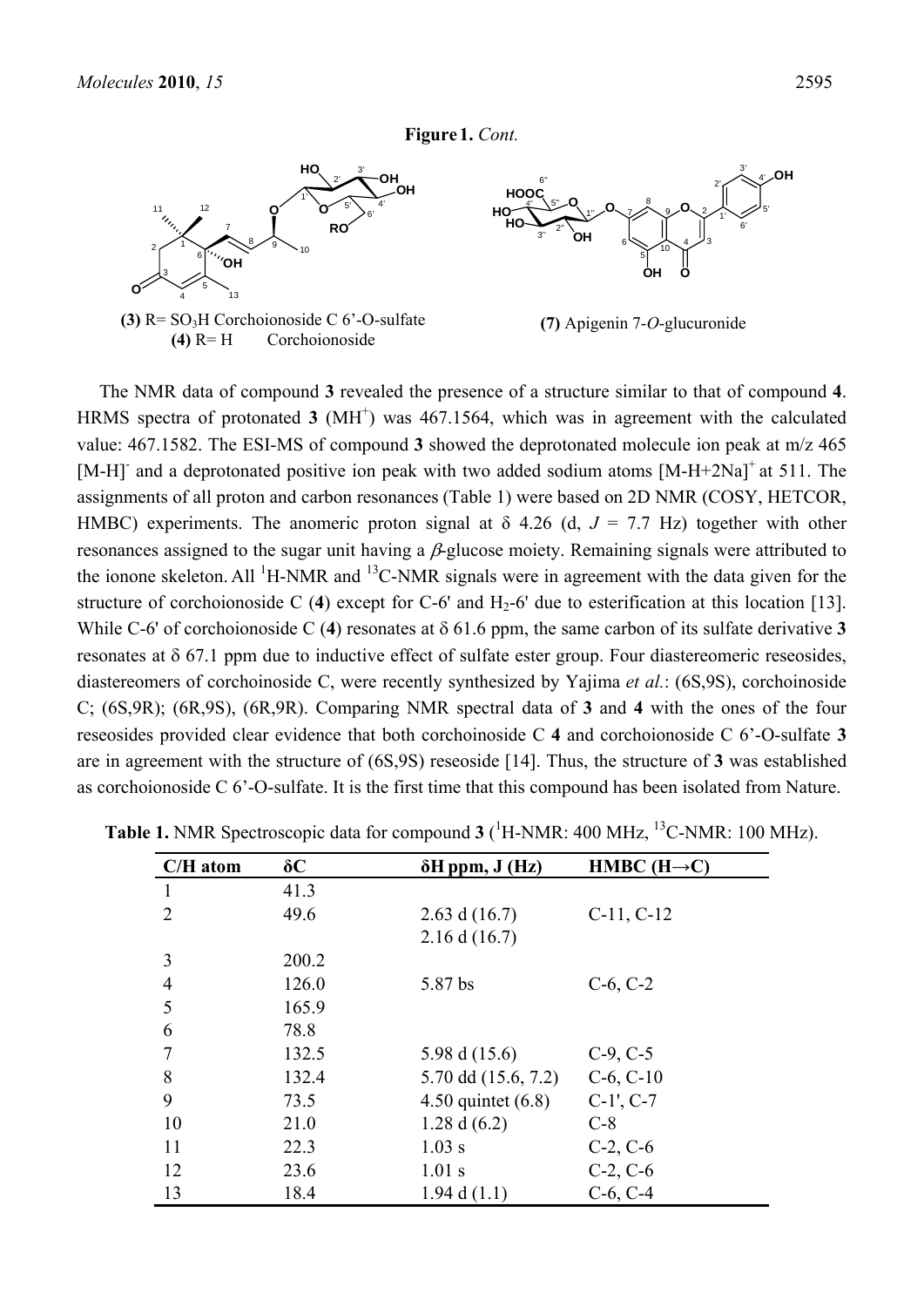**Figure 1.** *Cont.*



The NMR data of compound **3** revealed the presence of a structure similar to that of compound **4**. HRMS spectra of protonated  $3 \text{ (MH)}$  was 467.1564, which was in agreement with the calculated value: 467.1582. The ESI-MS of compound **3** showed the deprotonated molecule ion peak at m/z 465 [M-H] and a deprotonated positive ion peak with two added sodium atoms [M-H+2Na]<sup>+</sup> at 511. The assignments of all proton and carbon resonances (Table 1) were based on 2D NMR (COSY, HETCOR, HMBC) experiments. The anomeric proton signal at  $\delta$  4.26 (d,  $J = 7.7$  Hz) together with other resonances assigned to the sugar unit having a  $\beta$ -glucose moiety. Remaining signals were attributed to the ionone skeleton. All  $\mathrm{^{1}H\text{-}NMR}$  and  $\mathrm{^{13}C\text{-}NMR}$  signals were in agreement with the data given for the structure of corchoionoside C (4) except for C-6' and  $H_2$ -6' due to esterification at this location [13]. While C-6' of corchoionoside C (**4**) resonates at δ 61.6 ppm, the same carbon of its sulfate derivative **3** resonates at δ 67.1 ppm due to inductive effect of sulfate ester group. Four diastereomeric reseosides, diastereomers of corchoinoside C, were recently synthesized by Yajima *et al.*: (6S,9S), corchoinoside C; (6S,9R); (6R,9S), (6R,9R). Comparing NMR spectral data of **3** and **4** with the ones of the four reseosides provided clear evidence that both corchoinoside C **4** and corchoionoside C 6'-O-sulfate **3** are in agreement with the structure of (6S,9S) reseoside [14]. Thus, the structure of **3** was established as corchoionoside C 6'-O-sulfate. It is the first time that this compound has been isolated from Nature.

| $C/H$ atom     | $\delta C$ | $\delta H$ ppm, $J$ (Hz) | HMBC $(H\rightarrow C)$ |
|----------------|------------|--------------------------|-------------------------|
| 1              | 41.3       |                          |                         |
| $\overline{2}$ | 49.6       | 2.63 d $(16.7)$          | $C-11, C-12$            |
|                |            | 2.16 d(16.7)             |                         |
| 3              | 200.2      |                          |                         |
| $\overline{4}$ | 126.0      | 5.87 bs                  | $C-6, C-2$              |
| 5              | 165.9      |                          |                         |
| 6              | 78.8       |                          |                         |
| 7              | 132.5      | 5.98 d (15.6)            | $C-9, C-5$              |
| 8              | 132.4      | 5.70 dd (15.6, 7.2)      | $C-6, C-10$             |
| 9              | 73.5       | 4.50 quintet $(6.8)$     | $C-1$ ', $C-7$          |
| 10             | 21.0       | 1.28 d $(6.2)$           | $C-8$                   |
| 11             | 22.3       | $1.03$ s                 | $C-2, C-6$              |
| 12             | 23.6       | $1.01$ s                 | $C-2, C-6$              |
| 13             | 18.4       | 1.94 d $(1.1)$           | $C-6, C-4$              |

**Table 1.** NMR Spectroscopic data for compound 3 (<sup>1</sup>H-NMR: 400 MHz, <sup>13</sup>C-NMR: 100 MHz).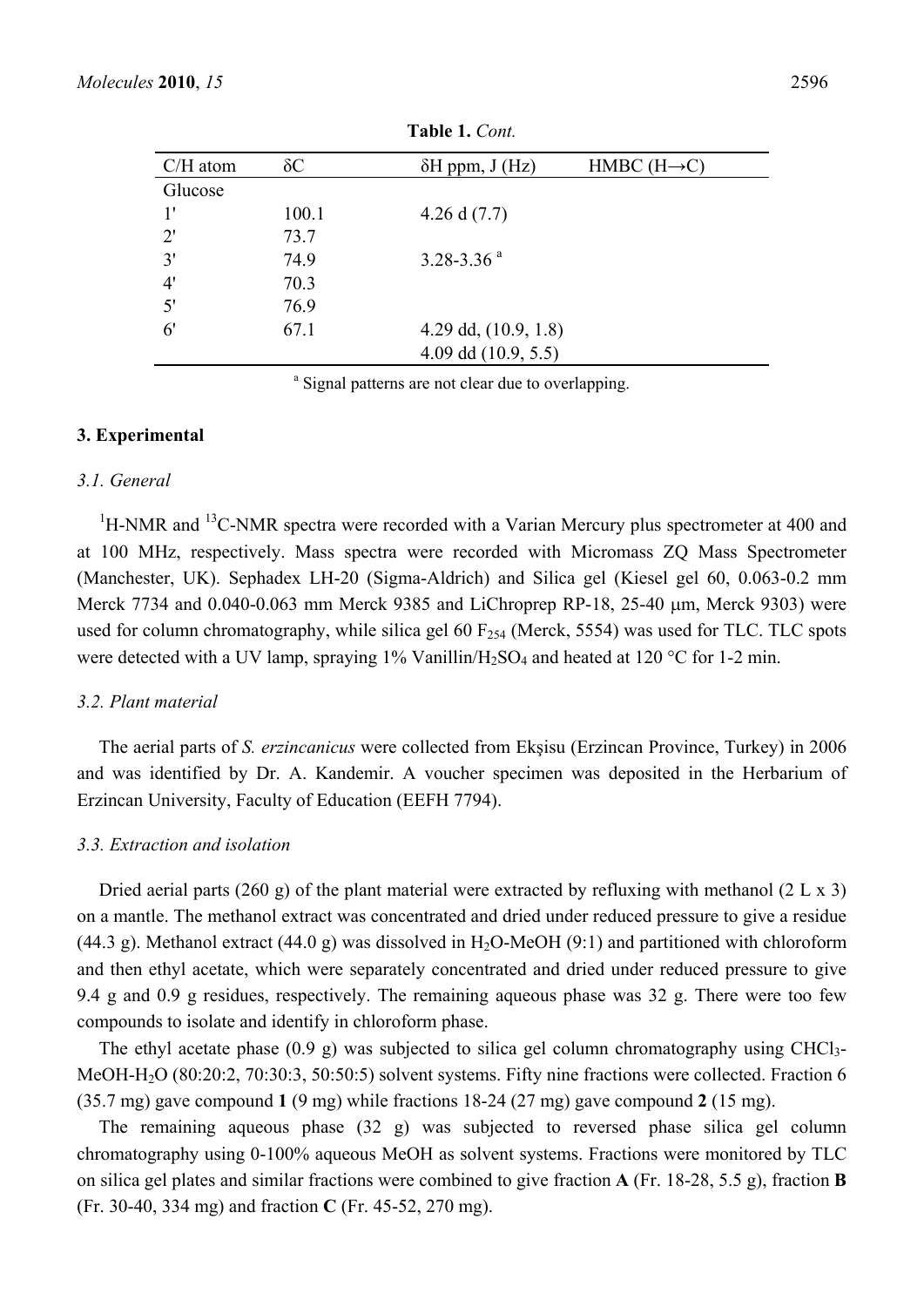| $C/H$ atom   | $\delta C$ | $\delta H$ ppm, J (Hz) | $HMBC (H \rightarrow C)$ |
|--------------|------------|------------------------|--------------------------|
| Glucose      |            |                        |                          |
| 1'           | 100.1      | 4.26 d $(7.7)$         |                          |
| $2^{\prime}$ | 73.7       |                        |                          |
| 3'           | 74.9       | 3.28-3.36 $a$          |                          |
| 4'           | 70.3       |                        |                          |
| 5'           | 76.9       |                        |                          |
| $6^{\prime}$ | 67.1       | 4.29 dd, $(10.9, 1.8)$ |                          |
|              |            | 4.09 dd $(10.9, 5.5)$  |                          |

**Table 1.** *Cont.* 

<sup>a</sup> Signal patterns are not clear due to overlapping.

#### **3. Experimental**

#### *3.1. General*

 ${}^{1}$ H-NMR and  ${}^{13}$ C-NMR spectra were recorded with a Varian Mercury plus spectrometer at 400 and at 100 MHz, respectively. Mass spectra were recorded with Micromass ZQ Mass Spectrometer (Manchester, UK). Sephadex LH-20 (Sigma-Aldrich) and Silica gel (Kiesel gel 60, 0.063-0.2 mm Merck 7734 and 0.040-0.063 mm Merck 9385 and LiChroprep RP-18, 25-40 μm, Merck 9303) were used for column chromatography, while silica gel 60  $F_{254}$  (Merck, 5554) was used for TLC. TLC spots were detected with a UV lamp, spraying  $1\%$  Vanillin/H<sub>2</sub>SO<sub>4</sub> and heated at  $120\text{ °C}$  for 1-2 min.

## *3.2. Plant material*

The aerial parts of *S. erzincanicus* were collected from Ekşisu (Erzincan Province, Turkey) in 2006 and was identified by Dr. A. Kandemir. A voucher specimen was deposited in the Herbarium of Erzincan University, Faculty of Education (EEFH 7794).

## *3.3. Extraction and isolation*

Dried aerial parts (260 g) of the plant material were extracted by refluxing with methanol (2 L x 3) on a mantle. The methanol extract was concentrated and dried under reduced pressure to give a residue (44.3 g). Methanol extract (44.0 g) was dissolved in  $H_2O$ -MeOH (9:1) and partitioned with chloroform and then ethyl acetate, which were separately concentrated and dried under reduced pressure to give 9.4 g and 0.9 g residues, respectively. The remaining aqueous phase was 32 g. There were too few compounds to isolate and identify in chloroform phase.

The ethyl acetate phase (0.9 g) was subjected to silica gel column chromatography using CHCl<sub>3</sub>-MeOH-H2O (80:20:2, 70:30:3, 50:50:5) solvent systems. Fifty nine fractions were collected. Fraction 6 (35.7 mg) gave compound **1** (9 mg) while fractions 18-24 (27 mg) gave compound **2** (15 mg).

The remaining aqueous phase (32 g) was subjected to reversed phase silica gel column chromatography using 0-100% aqueous MeOH as solvent systems. Fractions were monitored by TLC on silica gel plates and similar fractions were combined to give fraction **A** (Fr. 18-28, 5.5 g), fraction **B** (Fr. 30-40, 334 mg) and fraction **C** (Fr. 45-52, 270 mg).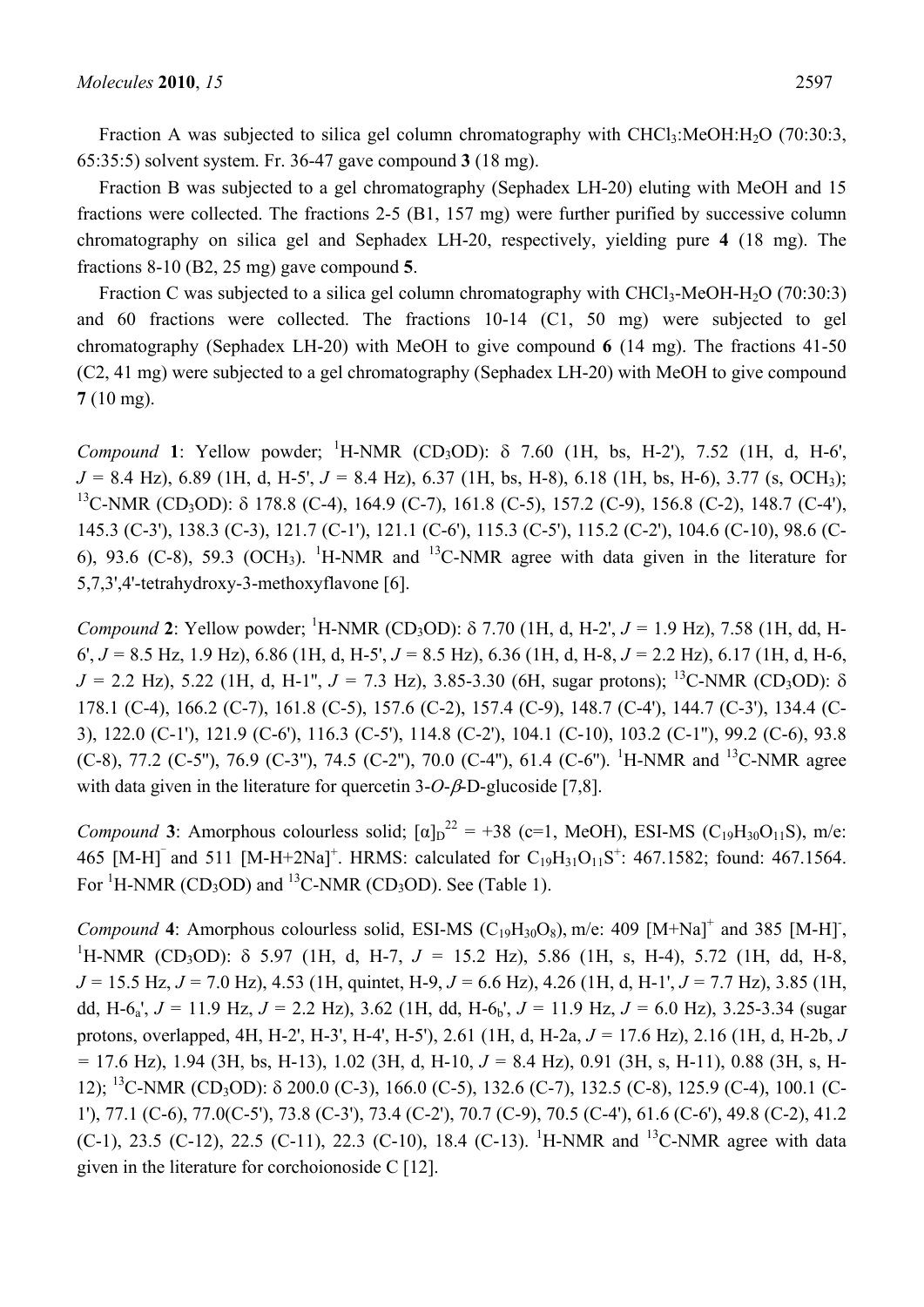Fraction A was subjected to silica gel column chromatography with  $CHCl<sub>3</sub>:MeOH:H<sub>2</sub>O$  (70:30:3, 65:35:5) solvent system. Fr. 36-47 gave compound **3** (18 mg).

Fraction B was subjected to a gel chromatography (Sephadex LH-20) eluting with MeOH and 15 fractions were collected. The fractions 2-5 (B1, 157 mg) were further purified by successive column chromatography on silica gel and Sephadex LH-20, respectively, yielding pure **4** (18 mg). The fractions 8-10 (B2, 25 mg) gave compound **5**.

Fraction C was subjected to a silica gel column chromatography with  $CHCl<sub>3</sub>$ -MeOH-H<sub>2</sub>O (70:30:3) and 60 fractions were collected. The fractions 10-14 (C1, 50 mg) were subjected to gel chromatography (Sephadex LH-20) with MeOH to give compound **6** (14 mg). The fractions 41-50 (C2, 41 mg) were subjected to a gel chromatography (Sephadex LH-20) with MeOH to give compound **7** (10 mg).

*Compound* **1**: Yellow powder; <sup>1</sup> H-NMR (CD3OD): δ 7.60 (1H, bs, H-2'), 7.52 (1H, d, H-6', *J =* 8.4 Hz), 6.89 (1H, d, H-5', *J =* 8.4 Hz), 6.37 (1H, bs, H-8), 6.18 (1H, bs, H-6), 3.77 (s, OCH3); <sup>13</sup>C-NMR (CD<sub>3</sub>OD): δ 178.8 (C-4), 164.9 (C-7), 161.8 (C-5), 157.2 (C-9), 156.8 (C-2), 148.7 (C-4'), 145.3 (C-3'), 138.3 (C-3), 121.7 (C-1'), 121.1 (C-6'), 115.3 (C-5'), 115.2 (C-2'), 104.6 (C-10), 98.6 (C-6), 93.6 (C-8), 59.3 (OCH<sub>3</sub>). <sup>1</sup>H-NMR and <sup>13</sup>C-NMR agree with data given in the literature for 5,7,3',4'-tetrahydroxy-3-methoxyflavone [6].

*Compound* 2: Yellow powder; <sup>1</sup>H-NMR (CD<sub>3</sub>OD): δ 7.70 (1H, d, H-2',  $J = 1.9$  Hz), 7.58 (1H, dd, H-6', *J =* 8.5 Hz, 1.9 Hz), 6.86 (1H, d, H-5', *J =* 8.5 Hz), 6.36 (1H, d, H-8, *J =* 2.2 Hz), 6.17 (1H, d, H-6,  $J = 2.2$  Hz), 5.22 (1H, d, H-1",  $J = 7.3$  Hz), 3.85-3.30 (6H, sugar protons); <sup>13</sup>C-NMR (CD<sub>3</sub>OD):  $\delta$ 178.1 (C-4), 166.2 (C-7), 161.8 (C-5), 157.6 (C-2), 157.4 (C-9), 148.7 (C-4'), 144.7 (C-3'), 134.4 (C-3), 122.0 (C-1'), 121.9 (C-6'), 116.3 (C-5'), 114.8 (C-2'), 104.1 (C-10), 103.2 (C-1''), 99.2 (C-6), 93.8 (C-8), 77.2 (C-5"), 76.9 (C-3"), 74.5 (C-2"), 70.0 (C-4"), 61.4 (C-6"). <sup>1</sup>H-NMR and <sup>13</sup>C-NMR agree with data given in the literature for quercetin 3-*O*-β-D-glucoside [7,8].

*Compound* **3**: Amorphous colourless solid;  $[\alpha]_D^{22} = +38$  (c=1, MeOH), ESI-MS (C<sub>19</sub>H<sub>30</sub>O<sub>11</sub>S), m/e: 465  $[M-H]$ <sup>-</sup> and 511  $[M-H+2Na]$ <sup>+</sup>. HRMS: calculated for  $C_{19}H_{31}O_{11}S$ <sup>+</sup>: 467.1582; found: 467.1564. For  ${}^{1}$ H-NMR (CD<sub>3</sub>OD) and  ${}^{13}$ C-NMR (CD<sub>3</sub>OD). See (Table 1).

*Compound* 4: Amorphous colourless solid, ESI-MS (C<sub>19</sub>H<sub>30</sub>O<sub>8</sub>), m/e: 409 [M+Na]<sup>+</sup> and 385 [M-H]<sup>-</sup>, <sup>1</sup>H NMP (CD OD):  $\frac{8}{5}$  5.07 (1H d, H 7, *I* = 15.2 H<sub>2</sub>), 5.86 (1H g, H 4), 5.72 (1H dd, H 8 <sup>1</sup>H-NMR (CD<sub>3</sub>OD): δ 5.97 (1H, d, H-7, J = 15.2 Hz), 5.86 (1H, s, H-4), 5.72 (1H, dd, H-8, *J =* 15.5 Hz, *J =* 7.0 Hz), 4.53 (1H, quintet, H-9, *J =* 6.6 Hz), 4.26 (1H, d, H-1', *J =* 7.7 Hz), 3.85 (1H, dd, H-6<sub>a</sub>',  $J = 11.9$  Hz,  $J = 2.2$  Hz), 3.62 (1H, dd, H-6<sub>b</sub>',  $J = 11.9$  Hz,  $J = 6.0$  Hz), 3.25-3.34 (sugar protons, overlapped, 4H, H-2', H-3', H-4', H-5'), 2.61 (1H, d, H-2a, *J =* 17.6 Hz), 2.16 (1H, d, H-2b, *J =* 17.6 Hz), 1.94 (3H, bs, H-13), 1.02 (3H, d, H-10, *J =* 8.4 Hz), 0.91 (3H, s, H-11), 0.88 (3H, s, H-12); <sup>13</sup>C-NMR (CD<sub>3</sub>OD): δ 200.0 (C-3), 166.0 (C-5), 132.6 (C-7), 132.5 (C-8), 125.9 (C-4), 100.1 (C-1'), 77.1 (C-6), 77.0(C-5'), 73.8 (C-3'), 73.4 (C-2'), 70.7 (C-9), 70.5 (C-4'), 61.6 (C-6'), 49.8 (C-2), 41.2 (C-1), 23.5 (C-12), 22.5 (C-11), 22.3 (C-10), 18.4 (C-13). <sup>1</sup>H-NMR and <sup>13</sup>C-NMR agree with data given in the literature for corchoionoside C [12].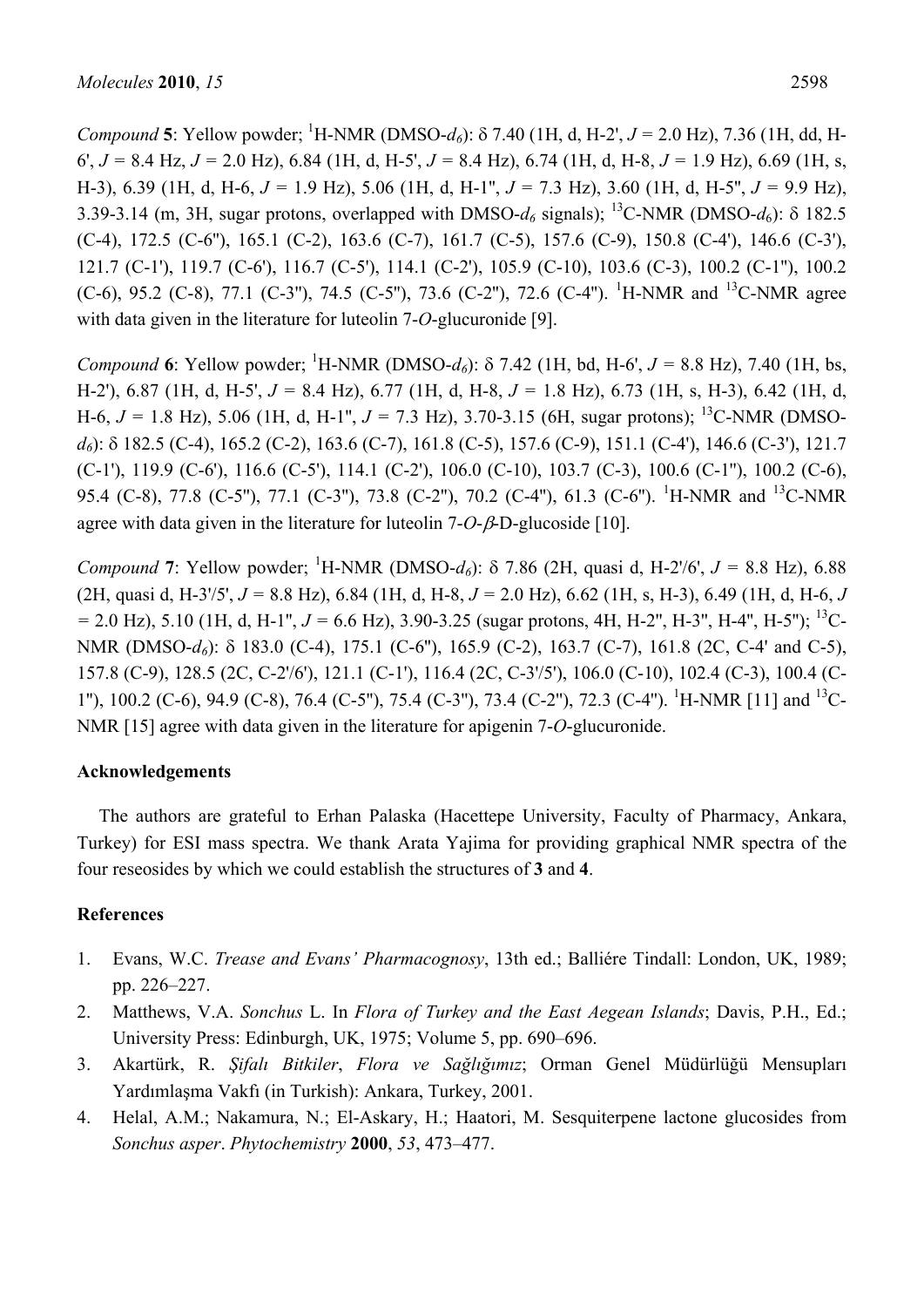*Compound* **5**: Yellow powder; <sup>1</sup> H-NMR (DMSO-*d6*): δ 7.40 (1H, d, H-2', *J =* 2.0 Hz), 7.36 (1H, dd, H-6', *J =* 8.4 Hz, *J =* 2.0 Hz), 6.84 (1H, d, H-5', *J =* 8.4 Hz), 6.74 (1H, d, H-8, *J =* 1.9 Hz), 6.69 (1H, s, H-3), 6.39 (1H, d, H-6, *J =* 1.9 Hz), 5.06 (1H, d, H-1'', *J =* 7.3 Hz), 3.60 (1H, d, H-5'', *J =* 9.9 Hz), 3.39-3.14 (m, 3H, sugar protons, overlapped with DMSO- $d_6$  signals); <sup>13</sup>C-NMR (DMSO- $d_6$ ):  $\delta$  182.5 (C-4), 172.5 (C-6''), 165.1 (C-2), 163.6 (C-7), 161.7 (C-5), 157.6 (C-9), 150.8 (C-4'), 146.6 (C-3'), 121.7 (C-1'), 119.7 (C-6'), 116.7 (C-5'), 114.1 (C-2'), 105.9 (C-10), 103.6 (C-3), 100.2 (C-1''), 100.2 (C-6), 95.2 (C-8), 77.1 (C-3"), 74.5 (C-5"), 73.6 (C-2"), 72.6 (C-4"). <sup>1</sup>H-NMR and <sup>13</sup>C-NMR agree with data given in the literature for luteolin 7-*O*-glucuronide [9].

*Compound* **6**: Yellow powder; <sup>1</sup>H-NMR (DMSO-*d*<sub>6</sub>): δ 7.42 (1H, bd, H-6',  $J = 8.8$  Hz), 7.40 (1H, bs, H-2'), 6.87 (1H, d, H-5', *J =* 8.4 Hz), 6.77 (1H, d, H-8, *J =* 1.8 Hz), 6.73 (1H, s, H-3), 6.42 (1H, d, H-6,  $J = 1.8$  Hz), 5.06 (1H, d, H-1",  $J = 7.3$  Hz), 3.70-3.15 (6H, sugar protons); <sup>13</sup>C-NMR (DMSO*d6*): δ 182.5 (C-4), 165.2 (C-2), 163.6 (C-7), 161.8 (C-5), 157.6 (C-9), 151.1 (C-4'), 146.6 (C-3'), 121.7  $(C-1')$ , 119.9  $(C-6')$ , 116.6  $(C-5')$ , 114.1  $(C-2')$ , 106.0  $(C-10)$ , 103.7  $(C-3)$ , 100.6  $(C-1'')$ , 100.2  $(C-6)$ , 95.4 (C-8), 77.8 (C-5"), 77.1 (C-3"), 73.8 (C-2"), 70.2 (C-4"), 61.3 (C-6"). <sup>1</sup>H-NMR and <sup>13</sup>C-NMR agree with data given in the literature for luteolin 7-*O*-β-D-glucoside [10].

*Compound* 7: Yellow powder; <sup>1</sup>H-NMR (DMSO- $d_6$ ): δ 7.86 (2H, quasi d, H-2'/6',  $J = 8.8$  Hz), 6.88 (2H, quasi d, H-3'/5', *J =* 8.8 Hz), 6.84 (1H, d, H-8, *J =* 2.0 Hz), 6.62 (1H, s, H-3), 6.49 (1H, d, H-6, *J*   $= 2.0$  Hz), 5.10 (1H, d, H-1",  $J = 6.6$  Hz), 3.90-3.25 (sugar protons, 4H, H-2", H-3", H-4", H-5"); <sup>13</sup>C-NMR (DMSO-*d<sub>6</sub>*): δ 183.0 (C-4), 175.1 (C-6"), 165.9 (C-2), 163.7 (C-7), 161.8 (2C, C-4' and C-5), 157.8 (C-9), 128.5 (2C, C-2'/6'), 121.1 (C-1'), 116.4 (2C, C-3'/5'), 106.0 (C-10), 102.4 (C-3), 100.4 (C-1"), 100.2 (C-6), 94.9 (C-8), 76.4 (C-5"), 75.4 (C-3"), 73.4 (C-2"), 72.3 (C-4"). <sup>1</sup>H-NMR [11] and <sup>13</sup>C-NMR [15] agree with data given in the literature for apigenin 7-*O*-glucuronide.

# **Acknowledgements**

The authors are grateful to Erhan Palaska (Hacettepe University, Faculty of Pharmacy, Ankara, Turkey) for ESI mass spectra. We thank Arata Yajima for providing graphical NMR spectra of the four reseosides by which we could establish the structures of **3** and **4**.

# **References**

- 1. Evans, W.C. *Trease and Evans' Pharmacognosy*, 13th ed.; Balliére Tindall: London, UK, 1989; pp. 226*–*227.
- 2. Matthews, V.A. *Sonchus* L. In *Flora of Turkey and the East Aegean Islands*; Davis, P.H., Ed.; University Press: Edinburgh, UK, 1975; Volume 5, pp. 690*–*696.
- 3. Akartürk, R. *Şifalı Bitkiler*, *Flora ve Sağlığımız*; Orman Genel Müdürlüğü Mensupları Yardımlaşma Vakfı (in Turkish): Ankara, Turkey, 2001.
- 4. Helal, A.M.; Nakamura, N.; El-Askary, H.; Haatori, M. Sesquiterpene lactone glucosides from *Sonchus asper*. *Phytochemistry* **2000**, *53*, 473–477.